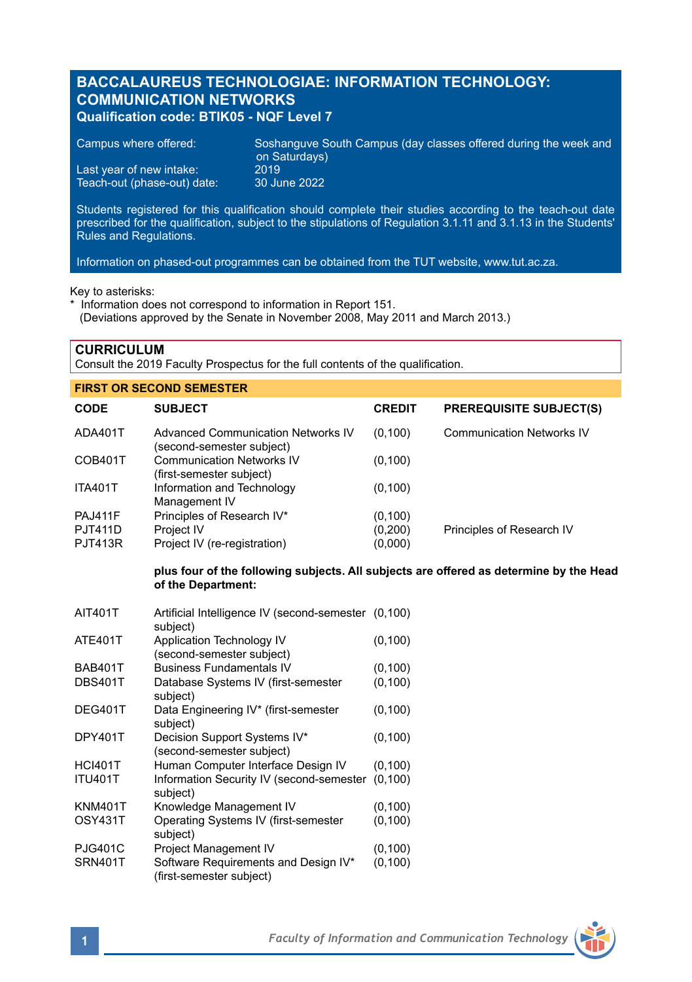# **BACCALAUREUS TECHNOLOGIAE: INFORMATION TECHNOLOGY: COMMUNICATION NETWORKS Qualification code: BTIK05 - NQF Level 7**

Campus where offered: Soshanguve South Campus (day classes offered during the week and on Saturdays) Last year of new intake: 2019<br>Teach-out (phase-out) date: 30 June 2022 Teach-out (phase-out) date:

Students registered for this qualification should complete their studies according to the teach-out date prescribed for the qualification, subject to the stipulations of Regulation 3.1.11 and 3.1.13 in the Students' Rules and Regulations.

Information on phased-out programmes can be obtained from the TUT website, www.tut.ac.za.

Key to asterisks:

\* Information does not correspond to information in Report 151.

(Deviations approved by the Senate in November 2008, May 2011 and March 2013.)

**CURRICULUM**

Consult the 2019 Faculty Prospectus for the full contents of the qualification.

| <b>FIRST OR SECOND SEMESTER</b> |                                                                                                              |               |                                  |  |  |
|---------------------------------|--------------------------------------------------------------------------------------------------------------|---------------|----------------------------------|--|--|
| <b>CODE</b>                     | <b>SUBJECT</b>                                                                                               | <b>CREDIT</b> | <b>PREREQUISITE SUBJECT(S)</b>   |  |  |
| ADA401T                         | <b>Advanced Communication Networks IV</b><br>(second-semester subject)                                       | (0, 100)      | <b>Communication Networks IV</b> |  |  |
| COB401T                         | <b>Communication Networks IV</b><br>(first-semester subject)                                                 | (0, 100)      |                                  |  |  |
| <b>ITA401T</b>                  | Information and Technology<br>Management IV                                                                  | (0, 100)      |                                  |  |  |
| <b>PAJ411F</b>                  | Principles of Research IV*                                                                                   | (0, 100)      |                                  |  |  |
| <b>PJT411D</b>                  | Project IV                                                                                                   | (0,200)       | Principles of Research IV        |  |  |
| <b>PJT413R</b>                  | Project IV (re-registration)                                                                                 | (0,000)       |                                  |  |  |
|                                 | plus four of the following subjects. All subjects are offered as determine by the Head<br>of the Department: |               |                                  |  |  |
| AIT401T                         | Artificial Intelligence IV (second-semester (0,100)                                                          |               |                                  |  |  |
|                                 | subject)                                                                                                     |               |                                  |  |  |
| <b>ATE401T</b>                  | Application Technology IV<br>(second-semester subject)                                                       | (0, 100)      |                                  |  |  |
| <b>BAB401T</b>                  | <b>Business Fundamentals IV</b>                                                                              | (0, 100)      |                                  |  |  |
| <b>DBS401T</b>                  | Database Systems IV (first-semester<br>subject)                                                              | (0, 100)      |                                  |  |  |
| <b>DEG401T</b>                  | Data Engineering IV* (first-semester<br>subject)                                                             | (0, 100)      |                                  |  |  |
| <b>DPY401T</b>                  | Decision Support Systems IV*<br>(second-semester subject)                                                    | (0, 100)      |                                  |  |  |
| LCMO4T                          | Human Computer Interface Decian IV                                                                           | (0.100)       |                                  |  |  |

| Human Computer Interface Design IV                               | (0, 100) |
|------------------------------------------------------------------|----------|
| Information Security IV (second-semester<br>subject)             | (0.100)  |
| Knowledge Management IV                                          | (0, 100) |
| Operating Systems IV (first-semester<br>subject)                 | (0, 100) |
| Project Management IV                                            | (0, 100) |
| Software Requirements and Design IV*<br>(first-semester subject) | (0, 100) |
|                                                                  |          |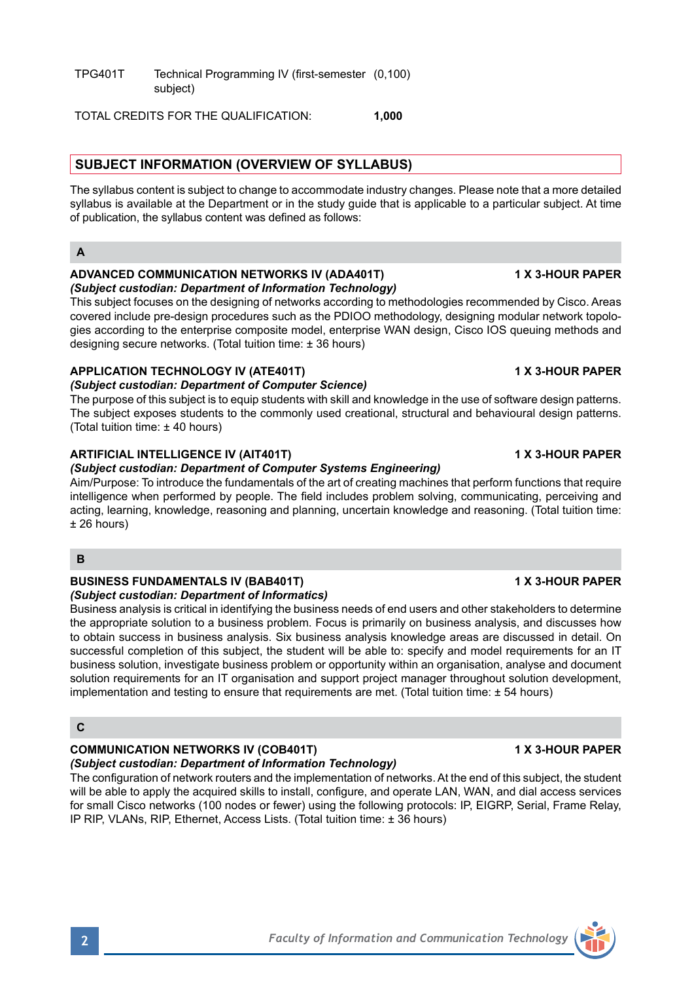TPG401T Technical Programming IV (first-semester (0,100) subject)

TOTAL CREDITS FOR THE QUALIFICATION: **1,000**

## **SUBJECT INFORMATION (OVERVIEW OF SYLLABUS)**

The syllabus content is subject to change to accommodate industry changes. Please note that a more detailed syllabus is available at the Department or in the study guide that is applicable to a particular subject. At time of publication, the syllabus content was defined as follows:

### **A**

### **ADVANCED COMMUNICATION NETWORKS IV (ADA401T) 1 X 3-HOUR PAPER** *(Subject custodian: Department of Information Technology)*

This subject focuses on the designing of networks according to methodologies recommended by Cisco. Areas covered include pre-design procedures such as the PDIOO methodology, designing modular network topologies according to the enterprise composite model, enterprise WAN design, Cisco IOS queuing methods and designing secure networks. (Total tuition time: ± 36 hours)

# **APPLICATION TECHNOLOGY IV (ATE401T) 1 X 3-HOUR PAPER**

## *(Subject custodian: Department of Computer Science)*

The purpose of this subject is to equip students with skill and knowledge in the use of software design patterns. The subject exposes students to the commonly used creational, structural and behavioural design patterns. (Total tuition time: ± 40 hours)

### **ARTIFICIAL INTELLIGENCE IV (AIT401T) 1 X 3-HOUR PAPER**

*(Subject custodian: Department of Computer Systems Engineering)*

Aim/Purpose: To introduce the fundamentals of the art of creating machines that perform functions that require intelligence when performed by people. The field includes problem solving, communicating, perceiving and acting, learning, knowledge, reasoning and planning, uncertain knowledge and reasoning. (Total tuition time:  $± 26$  hours)

### **B**

## **BUSINESS FUNDAMENTALS IV (BAB401T) 1 X 3-HOUR PAPER**

*(Subject custodian: Department of Informatics)* Business analysis is critical in identifying the business needs of end users and other stakeholders to determine the appropriate solution to a business problem. Focus is primarily on business analysis, and discusses how to obtain success in business analysis. Six business analysis knowledge areas are discussed in detail. On successful completion of this subject, the student will be able to: specify and model requirements for an IT business solution, investigate business problem or opportunity within an organisation, analyse and document solution requirements for an IT organisation and support project manager throughout solution development, implementation and testing to ensure that requirements are met. (Total tuition time:  $\pm$  54 hours)

## **C**

# **COMMUNICATION NETWORKS IV (COB401T) 1 X 3-HOUR PAPER**

*(Subject custodian: Department of Information Technology)* The configuration of network routers and the implementation of networks. At the end of this subject, the student will be able to apply the acquired skills to install, configure, and operate LAN, WAN, and dial access services for small Cisco networks (100 nodes or fewer) using the following protocols: IP, EIGRP, Serial, Frame Relay,

IP RIP, VLANs, RIP, Ethernet, Access Lists. (Total tuition time: ± 36 hours)

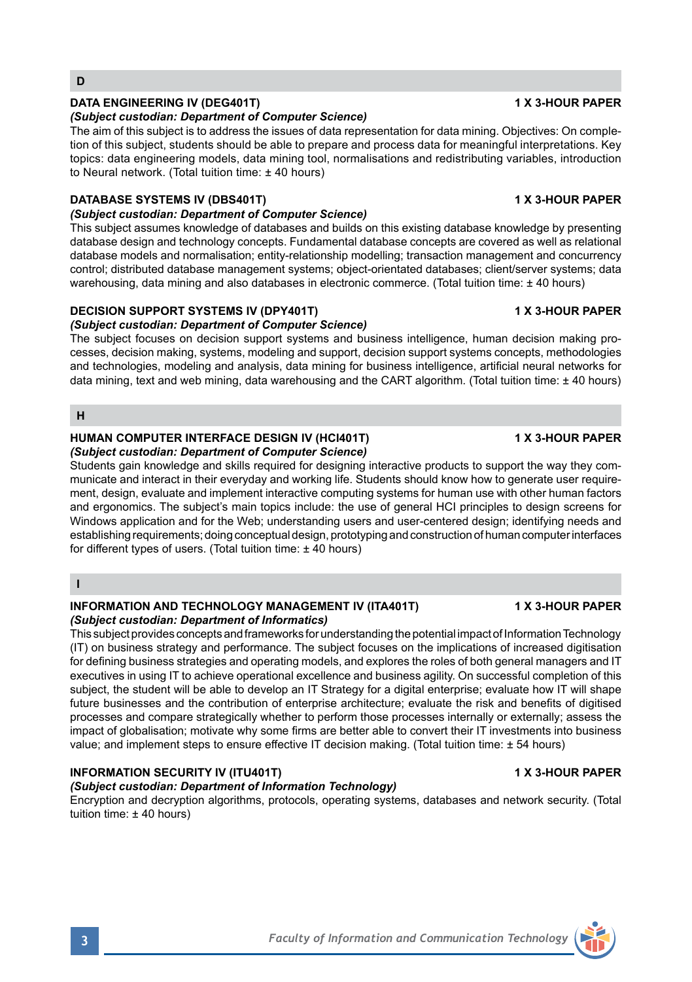# **DATA ENGINEERING IV (DEG401T) 1 X 3-HOUR PAPER**

### *(Subject custodian: Department of Computer Science)*

The aim of this subject is to address the issues of data representation for data mining. Objectives: On completion of this subject, students should be able to prepare and process data for meaningful interpretations. Key topics: data engineering models, data mining tool, normalisations and redistributing variables, introduction to Neural network. (Total tuition time: ± 40 hours)

### **DATABASE SYSTEMS IV (DBS401T) 1 X 3-HOUR PAPER**

### *(Subject custodian: Department of Computer Science)*

This subject assumes knowledge of databases and builds on this existing database knowledge by presenting database design and technology concepts. Fundamental database concepts are covered as well as relational database models and normalisation; entity-relationship modelling; transaction management and concurrency control; distributed database management systems; object-orientated databases; client/server systems; data warehousing, data mining and also databases in electronic commerce. (Total tuition time: ± 40 hours)

### **DECISION SUPPORT SYSTEMS IV (DPY401T) 1 X 3-HOUR PAPER**

## *(Subject custodian: Department of Computer Science)*

The subject focuses on decision support systems and business intelligence, human decision making processes, decision making, systems, modeling and support, decision support systems concepts, methodologies and technologies, modeling and analysis, data mining for business intelligence, artificial neural networks for data mining, text and web mining, data warehousing and the CART algorithm. (Total tuition time: ± 40 hours)

**H**

# **HUMAN COMPUTER INTERFACE DESIGN IV (HCI401T) 1 X 3-HOUR PAPER**

### *(Subject custodian: Department of Computer Science)*

Students gain knowledge and skills required for designing interactive products to support the way they communicate and interact in their everyday and working life. Students should know how to generate user requirement, design, evaluate and implement interactive computing systems for human use with other human factors and ergonomics. The subject's main topics include: the use of general HCI principles to design screens for Windows application and for the Web; understanding users and user-centered design; identifying needs and establishing requirements; doing conceptual design, prototyping and construction of human computer interfaces for different types of users. (Total tuition time: ± 40 hours)

**I**

### **INFORMATION AND TECHNOLOGY MANAGEMENT IV (ITA401T) 1 X 3-HOUR PAPER** *(Subject custodian: Department of Informatics)*

This subject provides concepts and frameworks for understanding the potential impact of Information Technology (IT) on business strategy and performance. The subject focuses on the implications of increased digitisation for defining business strategies and operating models, and explores the roles of both general managers and IT executives in using IT to achieve operational excellence and business agility. On successful completion of this subject, the student will be able to develop an IT Strategy for a digital enterprise; evaluate how IT will shape future businesses and the contribution of enterprise architecture; evaluate the risk and benefits of digitised processes and compare strategically whether to perform those processes internally or externally; assess the impact of globalisation; motivate why some firms are better able to convert their IT investments into business value; and implement steps to ensure effective IT decision making. (Total tuition time: ± 54 hours)

### **INFORMATION SECURITY IV (ITU401T) 1 X 3-HOUR PAPER**

### *(Subject custodian: Department of Information Technology)*

Encryption and decryption algorithms, protocols, operating systems, databases and network security. (Total tuition time: ± 40 hours)

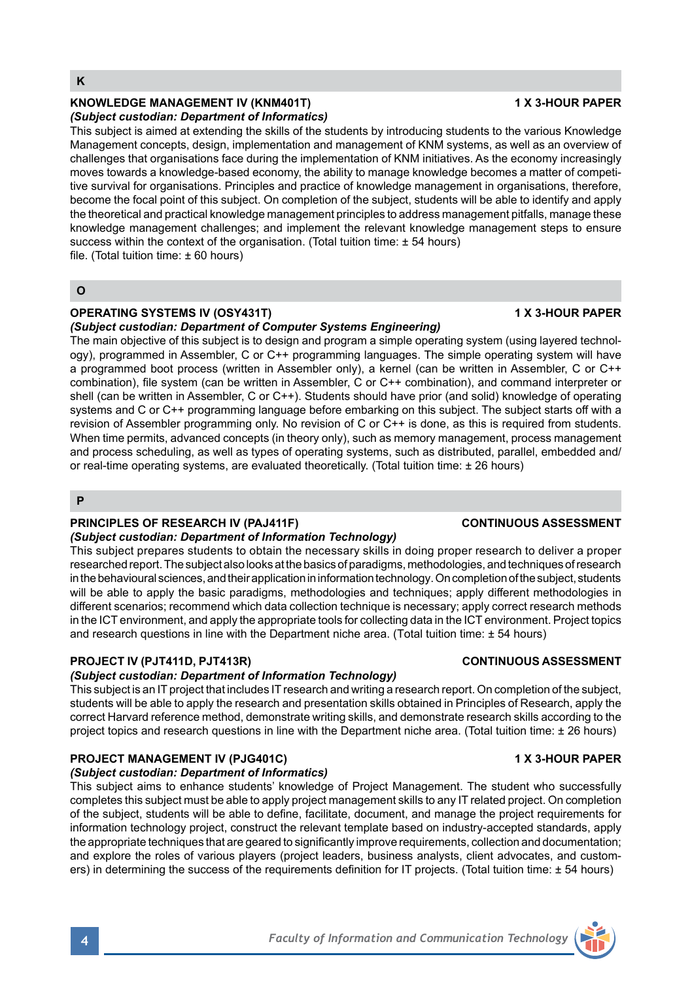### **KNOWLEDGE MANAGEMENT IV (KNM401T) 1 X 3-HOUR PAPER** *(Subject custodian: Department of Informatics)*

This subject is aimed at extending the skills of the students by introducing students to the various Knowledge Management concepts, design, implementation and management of KNM systems, as well as an overview of challenges that organisations face during the implementation of KNM initiatives. As the economy increasingly moves towards a knowledge-based economy, the ability to manage knowledge becomes a matter of competitive survival for organisations. Principles and practice of knowledge management in organisations, therefore, become the focal point of this subject. On completion of the subject, students will be able to identify and apply the theoretical and practical knowledge management principles to address management pitfalls, manage these knowledge management challenges; and implement the relevant knowledge management steps to ensure success within the context of the organisation. (Total tuition time:  $\pm$  54 hours) file. (Total tuition time: ± 60 hours)

**O**

### **OPERATING SYSTEMS IV (OSY431T) 1 X 3-HOUR PAPER**

### *(Subject custodian: Department of Computer Systems Engineering)*

The main objective of this subject is to design and program a simple operating system (using layered technology), programmed in Assembler, C or C++ programming languages. The simple operating system will have a programmed boot process (written in Assembler only), a kernel (can be written in Assembler, C or C++ combination), file system (can be written in Assembler, C or C++ combination), and command interpreter or shell (can be written in Assembler, C or C++). Students should have prior (and solid) knowledge of operating systems and C or C++ programming language before embarking on this subject. The subject starts off with a revision of Assembler programming only. No revision of C or C++ is done, as this is required from students. When time permits, advanced concepts (in theory only), such as memory management, process management and process scheduling, as well as types of operating systems, such as distributed, parallel, embedded and/ or real-time operating systems, are evaluated theoretically. (Total tuition time: ± 26 hours)

**P**

## **PRINCIPLES OF RESEARCH IV (PAJ411F) CONTINUOUS ASSESSMENT**

### *(Subject custodian: Department of Information Technology)*

This subject prepares students to obtain the necessary skills in doing proper research to deliver a proper researched report. The subject also looks at the basics of paradigms, methodologies, and techniques of research in the behavioural sciences, and their application in information technology. On completion of the subject, students will be able to apply the basic paradigms, methodologies and techniques; apply different methodologies in different scenarios; recommend which data collection technique is necessary; apply correct research methods in the ICT environment, and apply the appropriate tools for collecting data in the ICT environment. Project topics and research questions in line with the Department niche area. (Total tuition time: ± 54 hours)

### **PROJECT IV (PJT411D, PJT413R) CONTINUOUS ASSESSMENT**

### *(Subject custodian: Department of Information Technology)*

This subject is an IT project that includes IT research and writing a research report. On completion of the subject, students will be able to apply the research and presentation skills obtained in Principles of Research, apply the correct Harvard reference method, demonstrate writing skills, and demonstrate research skills according to the project topics and research questions in line with the Department niche area. (Total tuition time: ± 26 hours)

### **PROJECT MANAGEMENT IV (PJG401C) 1 X 3-HOUR PAPER**

### *(Subject custodian: Department of Informatics)*

This subject aims to enhance students' knowledge of Project Management. The student who successfully completes this subject must be able to apply project management skills to any IT related project. On completion of the subject, students will be able to define, facilitate, document, and manage the project requirements for information technology project, construct the relevant template based on industry-accepted standards, apply the appropriate techniques that are geared to significantly improve requirements, collection and documentation; and explore the roles of various players (project leaders, business analysts, client advocates, and customers) in determining the success of the requirements definition for IT projects. (Total tuition time: ± 54 hours)